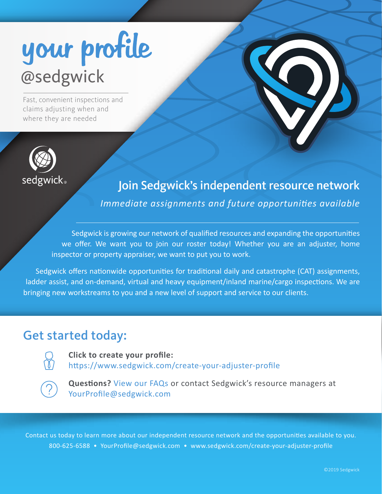# your profile

Fast, convenient inspections and claims adjusting when and where they are needed



# Join Sedgwick's independent resource network

*Immediate assignments and future opportunities available*

Sedgwick is growing our network of qualified resources and expanding the opportuni�es we offer. We want you to join our roster today! Whether you are an adjuster, home inspector or property appraiser, we want to put you to work.

Sedgwick offers nationwide opportunities for traditional daily and catastrophe (CAT) assignments, ladder assist, and on-demand, virtual and heavy equipment/inland marine/cargo inspections. We are bringing new workstreams to you and a new level of support and service to our clients.

# Get started today:



**Click to create your profile:** https://www.sedgwick.com/create-your-adjuster-profile



**Questions?** View our FAQs or contact Sedgwick's resource managers at YourProfile@sedgwick.com

Contact us today to learn more about our independent resource network and the opportuni�es available to you. 800-625-6588 • YourProfile@sedgwick.com • www.sedgwick.com/create-your-adjuster-profile